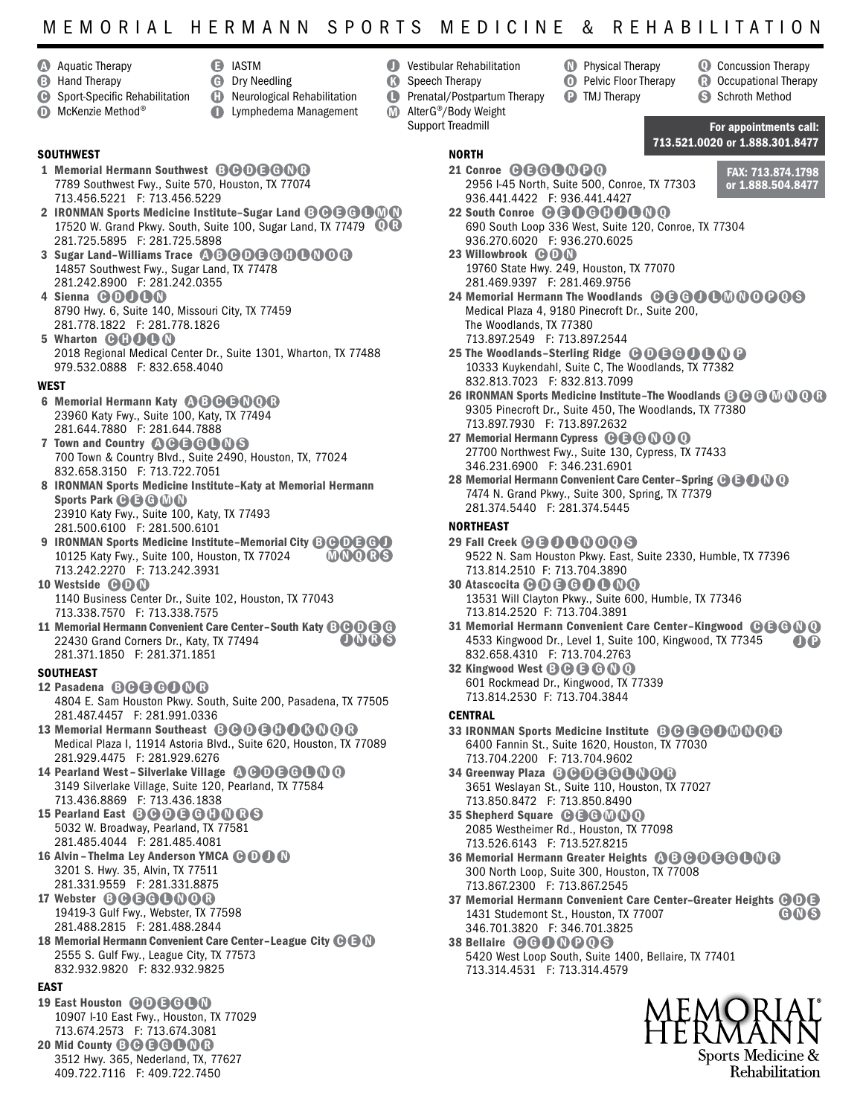# MEMORIAL HERMANN SPORTS MEDICINE & REHABILITATION

 $\mathbf 0$ 

- **Aquatic Therapy**
- **B** Hand Therapy
- **D** IASTM  $\boldsymbol{\Theta}$ 
	- Dry Needling
- **B** Sport-Specific Rehabilitation
- McKenzie Method® D
- **D** Neurological Rehabilitation **D** Lymphedema Management
- **D** Vestibular Rehabilitation Speech Therapy  $\Omega$ 
	- Prenatal/Postpartum Therapy

NORTH

AlterG®/Body Weight Support Treadmill M

### **SOUTHWEST**

- 1 Memorial Hermann Southwest **BOOBOOO** 7789 Southwest Fwy., Suite 570, Houston, TX 77074 713.456.5221 F: 713.456.5229
- 2 IRONMAN Sports Medicine Institute-Sugar Land © @ @ @ 0 0 17520 W. Grand Pkwy. South, Suite 100, Sugar Land, TX 77479  $\quad$   $\blacksquare$ 281.725.5895 F: 281.725.5898
- 3 Sugar Land-Williams Trace @ BOOOOOOOOO 14857 Southwest Fwy., Sugar Land, TX 77478 281.242.8900 F: 281.242.0355
- 4 Sienna **GOOOO** 8790 Hwy. 6, Suite 140, Missouri City, TX 77459 281.778.1822 F: 281.778.1826
- 5 Wharton **GOOOO** 2018 Regional Medical Center Dr., Suite 1301, Wharton, TX 77488 979.532.0888 F: 832.658.4040

#### WEST

- 6 Memorial Hermann Katy **QBBBQQB** 23960 Katy Fwy., Suite 100, Katy, TX 77494 281.644.7880 F: 281.644.7888
- 7 Town and Country @@G@@@6 700 Town & Country Blvd., Suite 2490, Houston, TX, 77024 832.658.3150 F: 713.722.7051
- 8 IRONMAN Sports Medicine Institute–Katy at Memorial Hermann Sports Park **C B G M N** 23910 Katy Fwy., Suite 100, Katy, TX 77493 281.500.6100 F: 281.500.6101
- 9 IRONMAN Sports Medicine Institute-Memorial City **BOOBOO** 10125 Katy Fwy., Suite 100, Houston, TX 77024 713.242.2270 F: 713.242.3931 **MNORS**
- 10 Westside **COON** 1140 Business Center Dr., Suite 102, Houston, TX 77043 713.338.7570 F: 713.338.7575
- 11 Memorial Hermann Convenient Care Center-South Katy **BOOBG** 22430 Grand Corners Dr., Katy, TX 77494 281.371.1850 F: 281.371.1851 OOR6

#### **SOUTHEAST**

12 Pasadena **B G G G O O C** 

4804 E. Sam Houston Pkwy. South, Suite 200, Pasadena, TX 77505 281.487.4457 F: 281.991.0336

- 13 Memorial Hermann Southeast **BBOBBOBOOB** Medical Plaza I, 11914 Astoria Blvd., Suite 620, Houston, TX 77089 281.929.4475 F: 281.929.6276
- 14 Pearland West Silverlake Village  $\mathbf{0} \Theta \mathbf{0} \Theta \mathbf{0} \Theta$ 3149 Silverlake Village, Suite 120, Pearland, TX 77584 713.436.8869 F: 713.436.1838
- 15 Pearland East **BOOGOOOOS** 5032 W. Broadway, Pearland, TX 77581 281.485.4044 F: 281.485.4081
- 16 Alvin Thelma Ley Anderson YMCA **ODO** 3201 S. Hwy. 35, Alvin, TX 77511
- 281.331.9559 F: 281.331.8875 17 Webster **BOBOOOOO** 19419-3 Gulf Fwy., Webster, TX 77598
- 281.488.2815 F: 281.488.2844
- 18 Memorial Hermann Convenient Care Center-League City  $\Theta \, \Theta \, \Omega$ 2555 S. Gulf Fwy., League City, TX 77573 832.932.9820 F: 832.932.9825

### **FAST**

- 19 East Houston **COGCOO** 10907 I-10 East Fwy., Houston, TX 77029 713.674.2573 F: 713.674.3081
- 20 Mid County **B @ B @ O N R** 3512 Hwy. 365, Nederland, TX, 77627 409.722.7116 F: 409.722.7450

FAX: 713.874.1798 or 1.888.504.8477 2956 I-45 North, Suite 500, Conroe, TX 77303

713.521.0020 or 1.888.301.8477

For appointments call:

**Q** Concussion Therapy **B** Occupational Therapy S Schroth Method

- 22 South Conroe **@@@@@@@@** 690 South Loop 336 West, Suite 120, Conroe, TX 77304 936.270.6020 F: 936.270.6025 23 Willowbrook **COO**
- 19760 State Hwy. 249, Houston, TX 77070 281.469.9397 F: 281.469.9756

21 Conroe **@ B @ 0 0 0 0** 

936.441.4422 F: 936.441.4427

24 Memorial Hermann The Woodlands @@@@@@@@@@@ Medical Plaza 4, 9180 Pinecroft Dr., Suite 200, The Woodlands, TX 77380 713.897.2549 F: 713.897.2544

**Physical Therapy D** Pelvic Floor Therapy **P** TMJ Therapy

- 25 The Woodlands-Sterling Ridge  $\bigoplus \bigoplus \bigoplus \bigoplus \bigoplus \bigoplus$ 10333 Kuykendahl, Suite C, The Woodlands, TX 77382 832.813.7023 F: 832.813.7099
- 26 IRONMAN Sports Medicine Institute-The Woodlands  $\mathbf{\Theta} \mathbf{\Theta} \mathbf{\Phi} \mathbf{\Phi} \mathbf{\Theta} \mathbf{\Theta}$ 9305 Pinecroft Dr., Suite 450, The Woodlands, TX 77380 713.897.7930 F: 713.897.2632
- 27 Memorial Hermann Cypress  $\mathbf{\Theta} \mathbf{\Theta} \mathbf{\Theta} \mathbf{\Theta} \mathbf{\Theta}$ 27700 Northwest Fwy., Suite 130, Cypress, TX 77433 346.231.6900 F: 346.231.6901
- 28 Memorial Hermann Convenient Care Center-Spring  $\bigcirc$   $\bigcirc$   $\bigcirc$   $\bigcirc$ 7474 N. Grand Pkwy., Suite 300, Spring, TX 77379 281.374.5440 F: 281.374.5445

#### **NORTHFAST**

- 29 Fall Creek **@ @ 0 0 0 0 0 6** 9522 N. Sam Houston Pkwy. East, Suite 2330, Humble, TX 77396 713.814.2510 F: 713.704.3890
- 30 Atascocita **ODBOOOOO** 13531 Will Clayton Pkwy., Suite 600, Humble, TX 77346 713.814.2520 F: 713.704.3891
- 31 Memorial Hermann Convenient Care Center-Kingwood @ G G O Q 4533 Kingwood Dr., Level 1, Suite 100, Kingwood, TX 77345 832.658.4310 F: 713.704.2763 J P
- 32 Kingwood West **B C G C O O** 601 Rockmead Dr., Kingwood, TX 77339 713.814.2530 F: 713.704.3844

### **CENTRAL**

- 33 IRONMAN Sports Medicine Institute **B C G C O M N O C** 6400 Fannin St., Suite 1620, Houston, TX 77030 713.704.2200 F: 713.704.9602
- 34 Greenway Plaza **B GO B GO NO C** 3651 Weslayan St., Suite 110, Houston, TX 77027 713.850.8472 F: 713.850.8490
- 35 Shepherd Square **@ B G M O Q** 2085 Westheimer Rd., Houston, TX 77098 713.526.6143 F: 713.527.8215
- 36 Memorial Hermann Greater Heights @ B B O B C O B C 300 North Loop, Suite 300, Houston, TX 77008 713.867.2300 F: 713.867.2545
- 37 Memorial Hermann Convenient Care Center-Greater Heights  $\bigcirc$  O G 1431 Studemont St., Houston, TX 77007 346.701.3820 F: 346.701.3825 **GNS**
- 38 Bellaire **GGOOOOS** 5420 West Loop South, Suite 1400, Bellaire, TX 77401 713.314.4531 F: 713.314.4579



Rehabilitation